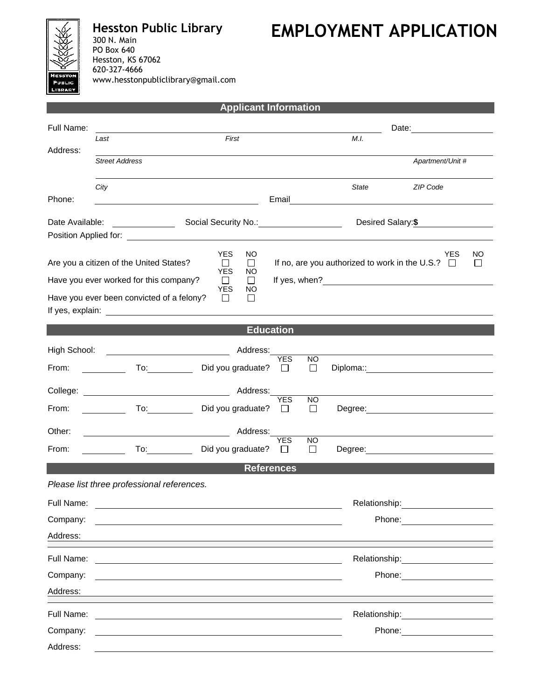

Address:

**Hesston Public Library** 300 N. Main PO Box 640 Hesston, KS 67062 620-327-4666 www.hesstonpubliclibrary@gmail.com

## **EMPLOYMENT APPLICATION**

| <b>Applicant Information</b> |                                                                                                                                                                                                                                                                                                                 |                                                                     |                       |                     |               |                                                                                                                                                                                                                                |    |
|------------------------------|-----------------------------------------------------------------------------------------------------------------------------------------------------------------------------------------------------------------------------------------------------------------------------------------------------------------|---------------------------------------------------------------------|-----------------------|---------------------|---------------|--------------------------------------------------------------------------------------------------------------------------------------------------------------------------------------------------------------------------------|----|
| Full Name:                   |                                                                                                                                                                                                                                                                                                                 |                                                                     |                       |                     |               | Date: <u>________</u>                                                                                                                                                                                                          |    |
| Address:                     | First<br>Last                                                                                                                                                                                                                                                                                                   |                                                                     |                       | M.I.                |               |                                                                                                                                                                                                                                |    |
|                              | <b>Street Address</b>                                                                                                                                                                                                                                                                                           |                                                                     |                       |                     |               | Apartment/Unit #                                                                                                                                                                                                               |    |
|                              | City                                                                                                                                                                                                                                                                                                            |                                                                     |                       |                     | <b>State</b>  | ZIP Code                                                                                                                                                                                                                       |    |
| Phone:                       |                                                                                                                                                                                                                                                                                                                 |                                                                     |                       |                     |               | Email and the contract of the contract of the contract of the contract of the contract of the contract of the contract of the contract of the contract of the contract of the contract of the contract of the contract of the  |    |
|                              | Desired Salary:\$<br>Date Available:<br><u> a shekara ta 1999 a shekara t</u><br>Social Security No.: \\cdot \\cdot \\cdot \\cdot \\cdot \\cdot \\cdot \\cdot \\cdot \\cdot \\cdot \\cdot \\cdot \\cdot \\cdot \\cdot \\cdot \\cdot \\cdot \\cdot \\cdot \\cdot \\cdot \\cdot \\cdot \\cdot \\cdot \\cdot \\cdo |                                                                     |                       |                     |               |                                                                                                                                                                                                                                |    |
|                              |                                                                                                                                                                                                                                                                                                                 | <b>YES</b><br>NO                                                    |                       |                     |               | YES                                                                                                                                                                                                                            | NO |
|                              | Are you a citizen of the United States?                                                                                                                                                                                                                                                                         | $\perp$<br>$\Box$<br><b>YES</b><br>NO                               |                       |                     |               | If no, are you authorized to work in the U.S.? $\Box$                                                                                                                                                                          | ⊔  |
|                              | Have you ever worked for this company?                                                                                                                                                                                                                                                                          | $\Box$<br>Ш<br><b>YES</b><br>NO                                     |                       |                     |               |                                                                                                                                                                                                                                |    |
|                              | Have you ever been convicted of a felony?                                                                                                                                                                                                                                                                       | $\perp$<br>$\perp$                                                  |                       |                     |               |                                                                                                                                                                                                                                |    |
| <b>Education</b>             |                                                                                                                                                                                                                                                                                                                 |                                                                     |                       |                     |               |                                                                                                                                                                                                                                |    |
| High School:                 | <u> 1990 - Johann Barbara, martin d</u>                                                                                                                                                                                                                                                                         | Address:                                                            |                       |                     |               |                                                                                                                                                                                                                                |    |
| From:                        | To: the contract of the contract of the contract of the contract of the contract of the contract of the contract of the contract of the contract of the contract of the contract of the contract of the contract of the contra                                                                                  | Did you graduate?                                                   | <b>YES</b><br>$\perp$ | <b>NO</b><br>$\Box$ |               | Diploma:: experience and the contract of the contract of the contract of the contract of the contract of the contract of the contract of the contract of the contract of the contract of the contract of the contract of the c |    |
| College:                     |                                                                                                                                                                                                                                                                                                                 |                                                                     |                       |                     |               |                                                                                                                                                                                                                                |    |
| From:                        | To: the contract of the contract of the contract of the contract of the contract of the contract of the contract of the contract of the contract of the contract of the contract of the contract of the contract of the contra                                                                                  | Did you graduate?                                                   | <b>YES</b><br>$\Box$  | NO.<br>$\Box$       |               |                                                                                                                                                                                                                                |    |
| Other:                       |                                                                                                                                                                                                                                                                                                                 | Address:                                                            |                       |                     |               |                                                                                                                                                                                                                                |    |
| From:                        |                                                                                                                                                                                                                                                                                                                 | Did you graduate?                                                   | <b>YES</b>            | <b>NO</b><br>$\Box$ |               |                                                                                                                                                                                                                                |    |
| <b>References</b>            |                                                                                                                                                                                                                                                                                                                 |                                                                     |                       |                     |               |                                                                                                                                                                                                                                |    |
|                              | Please list three professional references.                                                                                                                                                                                                                                                                      |                                                                     |                       |                     |               |                                                                                                                                                                                                                                |    |
| Full Name:                   |                                                                                                                                                                                                                                                                                                                 | <u> 1989 - Johann Stein, mars an deus Amerikaansk kommunister (</u> |                       |                     | Relationship: |                                                                                                                                                                                                                                |    |
| Company:                     |                                                                                                                                                                                                                                                                                                                 |                                                                     |                       |                     |               |                                                                                                                                                                                                                                |    |
| Address:                     |                                                                                                                                                                                                                                                                                                                 |                                                                     |                       |                     |               |                                                                                                                                                                                                                                |    |
| Full Name:                   |                                                                                                                                                                                                                                                                                                                 |                                                                     |                       |                     | Relationship: |                                                                                                                                                                                                                                |    |
| Company:                     |                                                                                                                                                                                                                                                                                                                 |                                                                     |                       |                     |               | Phone:                                                                                                                                                                                                                         |    |
| Address:                     |                                                                                                                                                                                                                                                                                                                 |                                                                     |                       |                     |               |                                                                                                                                                                                                                                |    |
| Full Name:                   |                                                                                                                                                                                                                                                                                                                 |                                                                     |                       |                     |               | Relationship: example and all the set of the set of the set of the set of the set of the set of the set of the                                                                                                                 |    |
| Company:                     |                                                                                                                                                                                                                                                                                                                 |                                                                     |                       |                     |               | Phone:                                                                                                                                                                                                                         |    |